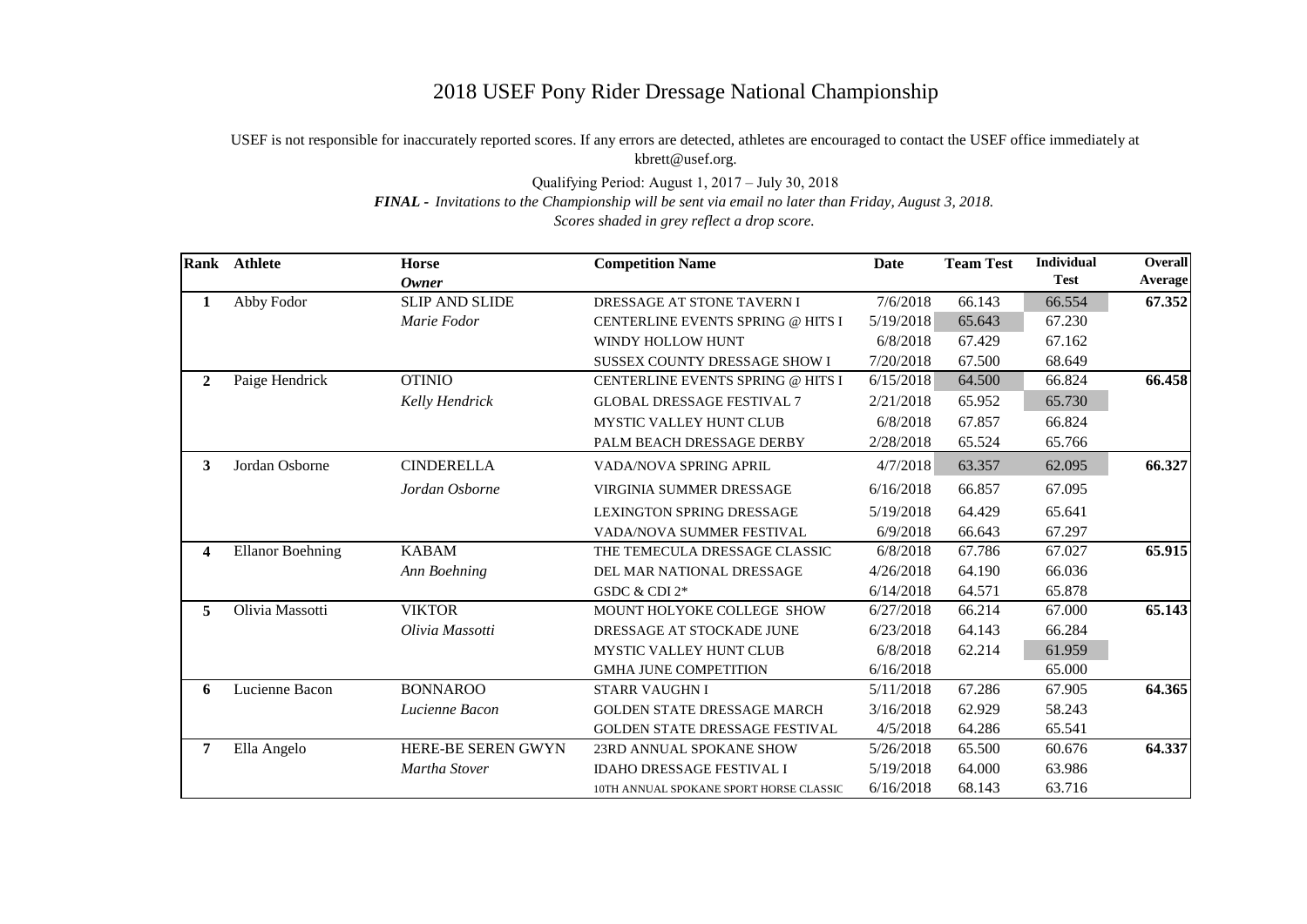## 2018 USEF Pony Rider Dressage National Championship

## USEF is not responsible for inaccurately reported scores. If any errors are detected, athletes are encouraged to contact the USEF office immediately at kbrett@usef.org.

Qualifying Period: August 1, 2017 – July 30, 2018

*FINAL - Invitations to the Championship will be sent via email no later than Friday, August 3, 2018.*

*Scores shaded in grey reflect a drop score.*

| Rank           | <b>Athlete</b>          | Horse                 | <b>Competition Name</b>                 | Date      | <b>Team Test</b> | <b>Individual</b> | <b>Overall</b> |
|----------------|-------------------------|-----------------------|-----------------------------------------|-----------|------------------|-------------------|----------------|
|                |                         | <b>Owner</b>          |                                         |           |                  | <b>Test</b>       | Average        |
| 1              | Abby Fodor              | <b>SLIP AND SLIDE</b> | DRESSAGE AT STONE TAVERN I              | 7/6/2018  | 66.143           | 66.554            | 67.352         |
|                |                         | Marie Fodor           | CENTERLINE EVENTS SPRING @ HITS I       | 5/19/2018 | 65.643           | 67.230            |                |
|                |                         |                       | WINDY HOLLOW HUNT                       | 6/8/2018  | 67.429           | 67.162            |                |
|                |                         |                       | <b>SUSSEX COUNTY DRESSAGE SHOW I</b>    | 7/20/2018 | 67.500           | 68.649            |                |
| $\overline{2}$ | Paige Hendrick          | <b>OTINIO</b>         | CENTERLINE EVENTS SPRING @ HITS I       | 6/15/2018 | 64.500           | 66.824            | 66.458         |
|                |                         | Kelly Hendrick        | <b>GLOBAL DRESSAGE FESTIVAL 7</b>       | 2/21/2018 | 65.952           | 65.730            |                |
|                |                         |                       | MYSTIC VALLEY HUNT CLUB                 | 6/8/2018  | 67.857           | 66.824            |                |
|                |                         |                       | PALM BEACH DRESSAGE DERBY               | 2/28/2018 | 65.524           | 65.766            |                |
| 3              | Jordan Osborne          | <b>CINDERELLA</b>     | VADA/NOVA SPRING APRIL                  | 4/7/2018  | 63.357           | 62.095            | 66.327         |
|                |                         | Jordan Osborne        | <b>VIRGINIA SUMMER DRESSAGE</b>         | 6/16/2018 | 66.857           | 67.095            |                |
|                |                         |                       | LEXINGTON SPRING DRESSAGE               | 5/19/2018 | 64.429           | 65.641            |                |
|                |                         |                       | VADA/NOVA SUMMER FESTIVAL               | 6/9/2018  | 66.643           | 67.297            |                |
| 4              | <b>Ellanor Boehning</b> | <b>KABAM</b>          | THE TEMECULA DRESSAGE CLASSIC           | 6/8/2018  | 67.786           | 67.027            | 65.915         |
|                |                         | Ann Boehning          | DEL MAR NATIONAL DRESSAGE               | 4/26/2018 | 64.190           | 66.036            |                |
|                |                         |                       | GSDC & CDI 2*                           | 6/14/2018 | 64.571           | 65.878            |                |
| 5              | Olivia Massotti         | <b>VIKTOR</b>         | MOUNT HOLYOKE COLLEGE SHOW              | 6/27/2018 | 66.214           | 67.000            | 65.143         |
|                |                         | Olivia Massotti       | DRESSAGE AT STOCKADE JUNE               | 6/23/2018 | 64.143           | 66.284            |                |
|                |                         |                       | MYSTIC VALLEY HUNT CLUB                 | 6/8/2018  | 62.214           | 61.959            |                |
|                |                         |                       | <b>GMHA JUNE COMPETITION</b>            | 6/16/2018 |                  | 65.000            |                |
| 6              | Lucienne Bacon          | <b>BONNAROO</b>       | <b>STARR VAUGHN I</b>                   | 5/11/2018 | 67.286           | 67.905            | 64.365         |
|                |                         | Lucienne Bacon        | <b>GOLDEN STATE DRESSAGE MARCH</b>      | 3/16/2018 | 62.929           | 58.243            |                |
|                |                         |                       | GOLDEN STATE DRESSAGE FESTIVAL          | 4/5/2018  | 64.286           | 65.541            |                |
| 7              | Ella Angelo             | HERE-BE SEREN GWYN    | 23RD ANNUAL SPOKANE SHOW                | 5/26/2018 | 65.500           | 60.676            | 64.337         |
|                |                         | Martha Stover         | <b>IDAHO DRESSAGE FESTIVAL I</b>        | 5/19/2018 | 64.000           | 63.986            |                |
|                |                         |                       | 10TH ANNUAL SPOKANE SPORT HORSE CLASSIC | 6/16/2018 | 68.143           | 63.716            |                |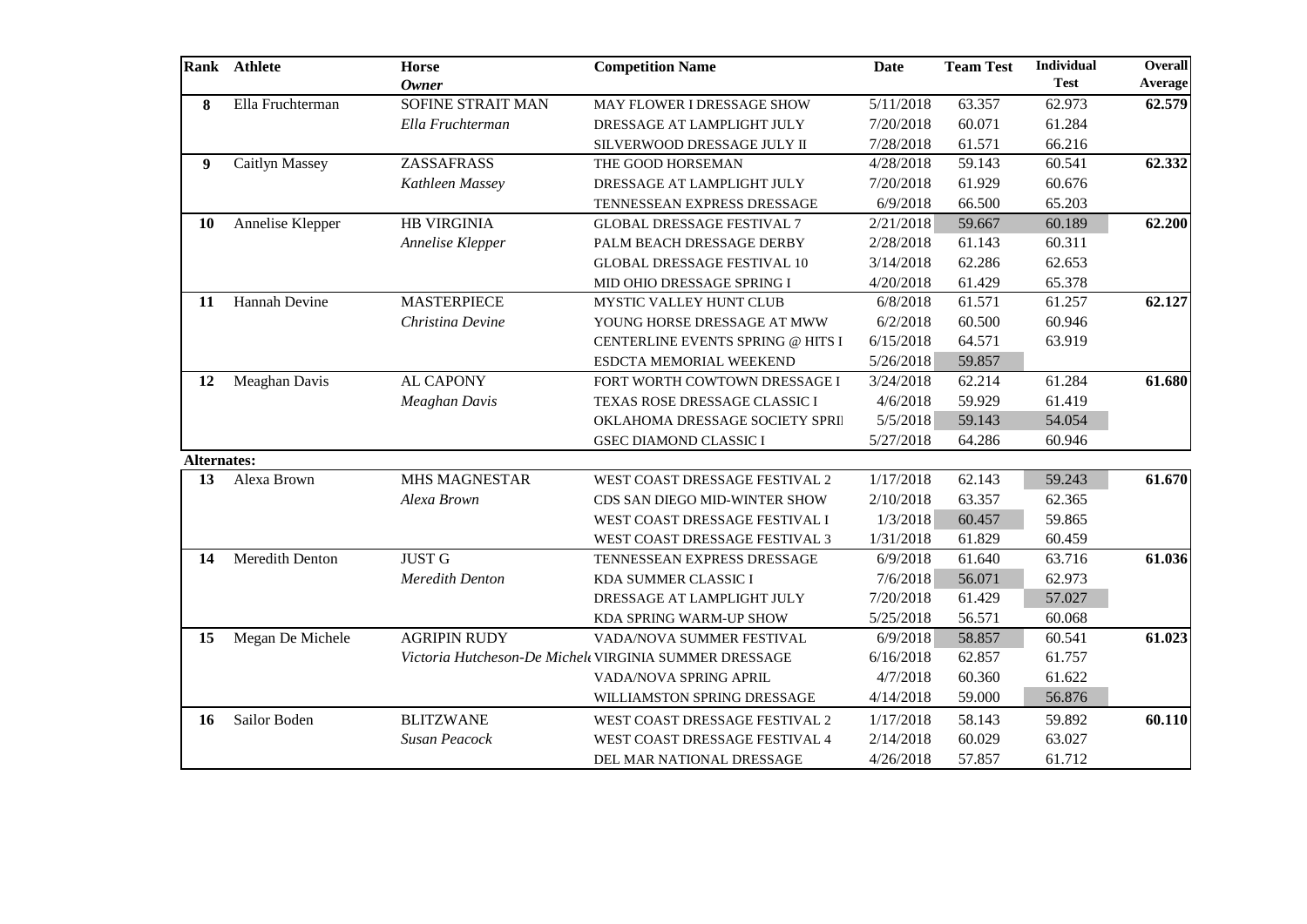|                    | Rank Athlete          | <b>Horse</b><br><b>Owner</b> | <b>Competition Name</b>                                | Date      | <b>Team Test</b> | Individual<br><b>Test</b> | Overall<br>Average |
|--------------------|-----------------------|------------------------------|--------------------------------------------------------|-----------|------------------|---------------------------|--------------------|
| 8                  | Ella Fruchterman      | SOFINE STRAIT MAN            | MAY FLOWER I DRESSAGE SHOW                             | 5/11/2018 | 63.357           | 62.973                    | 62.579             |
|                    |                       | Ella Fruchterman             | DRESSAGE AT LAMPLIGHT JULY                             | 7/20/2018 | 60.071           | 61.284                    |                    |
|                    |                       |                              | SILVERWOOD DRESSAGE JULY II                            | 7/28/2018 | 61.571           | 66.216                    |                    |
| 9                  | <b>Caitlyn Massey</b> | <b>ZASSAFRASS</b>            | THE GOOD HORSEMAN                                      | 4/28/2018 | 59.143           | 60.541                    | 62.332             |
|                    |                       | Kathleen Massey              | DRESSAGE AT LAMPLIGHT JULY                             | 7/20/2018 | 61.929           | 60.676                    |                    |
|                    |                       |                              | TENNESSEAN EXPRESS DRESSAGE                            | 6/9/2018  | 66.500           | 65.203                    |                    |
| <b>10</b>          | Annelise Klepper      | <b>HB VIRGINIA</b>           | <b>GLOBAL DRESSAGE FESTIVAL 7</b>                      | 2/21/2018 | 59.667           | 60.189                    | 62.200             |
|                    |                       | Annelise Klepper             | PALM BEACH DRESSAGE DERBY                              | 2/28/2018 | 61.143           | 60.311                    |                    |
|                    |                       |                              | <b>GLOBAL DRESSAGE FESTIVAL 10</b>                     | 3/14/2018 | 62.286           | 62.653                    |                    |
|                    |                       |                              | MID OHIO DRESSAGE SPRING I                             | 4/20/2018 | 61.429           | 65.378                    |                    |
| 11                 | Hannah Devine         | <b>MASTERPIECE</b>           | MYSTIC VALLEY HUNT CLUB                                | 6/8/2018  | 61.571           | 61.257                    | 62.127             |
|                    |                       | Christina Devine             | YOUNG HORSE DRESSAGE AT MWW                            | 6/2/2018  | 60.500           | 60.946                    |                    |
|                    |                       |                              | CENTERLINE EVENTS SPRING @ HITS I                      | 6/15/2018 | 64.571           | 63.919                    |                    |
|                    |                       |                              | ESDCTA MEMORIAL WEEKEND                                | 5/26/2018 | 59.857           |                           |                    |
| 12                 | Meaghan Davis         | <b>AL CAPONY</b>             | FORT WORTH COWTOWN DRESSAGE I                          | 3/24/2018 | 62.214           | 61.284                    | 61.680             |
|                    |                       | <b>Meaghan Davis</b>         | TEXAS ROSE DRESSAGE CLASSIC I                          | 4/6/2018  | 59.929           | 61.419                    |                    |
|                    |                       |                              | OKLAHOMA DRESSAGE SOCIETY SPRI                         | 5/5/2018  | 59.143           | 54.054                    |                    |
|                    |                       |                              | <b>GSEC DIAMOND CLASSIC I</b>                          | 5/27/2018 | 64.286           | 60.946                    |                    |
| <b>Alternates:</b> |                       |                              |                                                        |           |                  |                           |                    |
| 13                 | Alexa Brown           | <b>MHS MAGNESTAR</b>         | WEST COAST DRESSAGE FESTIVAL 2                         | 1/17/2018 | 62.143           | 59.243                    | 61.670             |
|                    |                       | Alexa Brown                  | CDS SAN DIEGO MID-WINTER SHOW                          | 2/10/2018 | 63.357           | 62.365                    |                    |
|                    |                       |                              | WEST COAST DRESSAGE FESTIVAL I                         | 1/3/2018  | 60.457           | 59.865                    |                    |
|                    |                       |                              | WEST COAST DRESSAGE FESTIVAL 3                         | 1/31/2018 | 61.829           | 60.459                    |                    |
| 14                 | Meredith Denton       | <b>JUST G</b>                | TENNESSEAN EXPRESS DRESSAGE                            | 6/9/2018  | 61.640           | 63.716                    | 61.036             |
|                    |                       | <b>Meredith Denton</b>       | KDA SUMMER CLASSIC I                                   | 7/6/2018  | 56.071           | 62.973                    |                    |
|                    |                       |                              | DRESSAGE AT LAMPLIGHT JULY                             | 7/20/2018 | 61.429           | 57.027                    |                    |
|                    |                       |                              | KDA SPRING WARM-UP SHOW                                | 5/25/2018 | 56.571           | 60.068                    |                    |
| 15                 | Megan De Michele      | <b>AGRIPIN RUDY</b>          | VADA/NOVA SUMMER FESTIVAL                              | 6/9/2018  | 58.857           | 60.541                    | 61.023             |
|                    |                       |                              | Victoria Hutcheson-De Michele VIRGINIA SUMMER DRESSAGE | 6/16/2018 | 62.857           | 61.757                    |                    |
|                    |                       |                              | VADA/NOVA SPRING APRIL                                 | 4/7/2018  | 60.360           | 61.622                    |                    |
|                    |                       |                              | WILLIAMSTON SPRING DRESSAGE                            | 4/14/2018 | 59.000           | 56.876                    |                    |
| 16                 | Sailor Boden          | <b>BLITZWANE</b>             | WEST COAST DRESSAGE FESTIVAL 2                         | 1/17/2018 | 58.143           | 59.892                    | 60.110             |
|                    |                       | Susan Peacock                | WEST COAST DRESSAGE FESTIVAL 4                         | 2/14/2018 | 60.029           | 63.027                    |                    |
|                    |                       |                              |                                                        |           |                  |                           |                    |